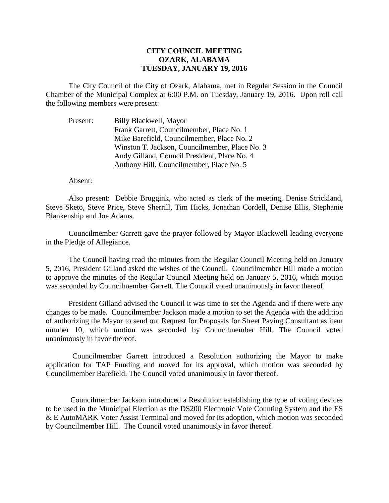## **CITY COUNCIL MEETING OZARK, ALABAMA TUESDAY, JANUARY 19, 2016**

The City Council of the City of Ozark, Alabama, met in Regular Session in the Council Chamber of the Municipal Complex at 6:00 P.M. on Tuesday, January 19, 2016. Upon roll call the following members were present:

Present: Billy Blackwell, Mayor Frank Garrett, Councilmember, Place No. 1 Mike Barefield, Councilmember, Place No. 2 Winston T. Jackson, Councilmember, Place No. 3 Andy Gilland, Council President, Place No. 4 Anthony Hill, Councilmember, Place No. 5

## Absent:

Also present: Debbie Bruggink, who acted as clerk of the meeting, Denise Strickland, Steve Sketo, Steve Price, Steve Sherrill, Tim Hicks, Jonathan Cordell, Denise Ellis, Stephanie Blankenship and Joe Adams.

Councilmember Garrett gave the prayer followed by Mayor Blackwell leading everyone in the Pledge of Allegiance.

The Council having read the minutes from the Regular Council Meeting held on January 5, 2016, President Gilland asked the wishes of the Council. Councilmember Hill made a motion to approve the minutes of the Regular Council Meeting held on January 5, 2016, which motion was seconded by Councilmember Garrett. The Council voted unanimously in favor thereof.

President Gilland advised the Council it was time to set the Agenda and if there were any changes to be made. Councilmember Jackson made a motion to set the Agenda with the addition of authorizing the Mayor to send out Request for Proposals for Street Paving Consultant as item number 10, which motion was seconded by Councilmember Hill. The Council voted unanimously in favor thereof.

 Councilmember Garrett introduced a Resolution authorizing the Mayor to make application for TAP Funding and moved for its approval, which motion was seconded by Councilmember Barefield. The Council voted unanimously in favor thereof.

 Councilmember Jackson introduced a Resolution establishing the type of voting devices to be used in the Municipal Election as the DS200 Electronic Vote Counting System and the ES & E AutoMARK Voter Assist Terminal and moved for its adoption, which motion was seconded by Councilmember Hill. The Council voted unanimously in favor thereof.